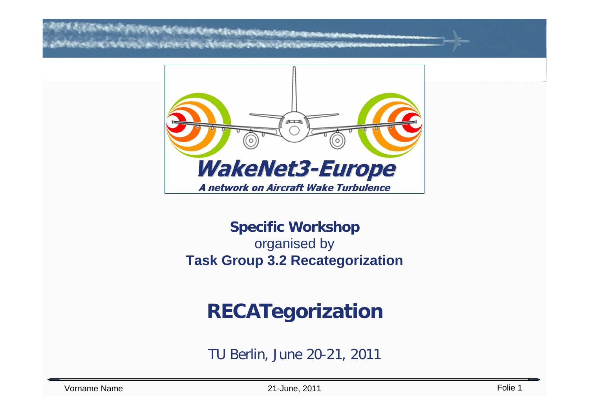**ANTIBOTION CONTINUES** 



### **Specific Workshop** organised by **Task Group 3.2 Recategorization**

# **RECATegorization**

TU Berlin, June 20-21, 2011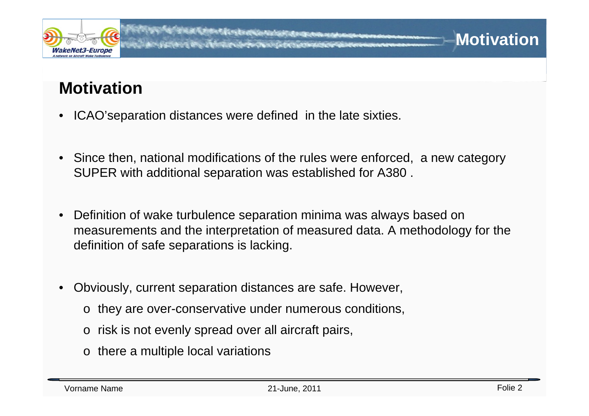

### **Motivation**

- ICAO'separation distances were defined in the late sixties.
- Since then, national modifications of the rules were enforced, a new category SUPER with additional separation was established for A380 .
- Definition of wake turbulence separation minima was always based on measurements and the interpretation of measured data. A methodology for the definition of safe separations is lacking.
- Obviously, current separation distances are safe. However,
	- o they are over-conservative under numerous conditions,
	- o risk is not evenly spread over all aircraft pairs,
	- o there a multiple local variations

**Motivation**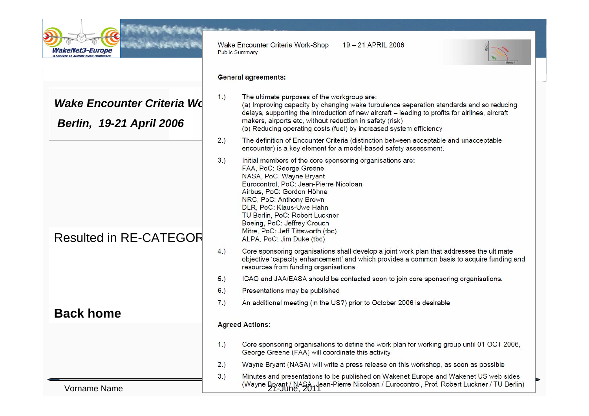

*Wake Encounter Criteria Wd Berlin, 19-21 April 2006*

Resulted in RE-CATEGOR

**Back home**

Vorname Name

19-21 APRIL 2006 Wake Encounter Criteria Work-Shop **Public Summary** 



### **General agreements:**

| 1.) | The ultimate purposes of the workgroup are:<br>(a) Improving capacity by changing wake turbulence separation standards and so reducing<br>delays, supporting the introduction of new aircraft - leading to profits for airlines, aircraft<br>makers, airports etc, without reduction in safety (risk)<br>(b) Reducing operating costs (fuel) by increased system efficiency      |
|-----|----------------------------------------------------------------------------------------------------------------------------------------------------------------------------------------------------------------------------------------------------------------------------------------------------------------------------------------------------------------------------------|
| 2.) | The definition of Encounter Criteria (distinction between acceptable and unacceptable<br>encounter) is a key element for a model-based safety assessment.                                                                                                                                                                                                                        |
| 3.) | Initial members of the core sponsoring organisations are:<br>FAA, PoC: George Greene<br>NASA, PoC. Wayne Bryant<br>Eurocontrol, PoC: Jean-Pierre Nicoloan<br>Airbus, PoC: Gordon Höhne<br>NRC, PoC: Anthony Brown<br>DLR, PoC: Klaus-Uwe Hahn<br>TU Berlin, PoC: Robert Luckner<br>Boeing, PoC: Jeffrey Crouch<br>Mitre, PoC: Jeff Tittsworth (tbc)<br>ALPA, PoC: Jim Duke (tbc) |
| 4.) | Core sponsoring organisations shall develop a joint work plan that addresses the ultimate<br>objective 'capacity enhancement' and which provides a common basis to acquire funding and<br>resources from funding organisations.                                                                                                                                                  |
| 5.) | ICAO and JAA/EASA should be contacted soon to join core sponsoring organisations.                                                                                                                                                                                                                                                                                                |
| 6.) | Presentations may be published                                                                                                                                                                                                                                                                                                                                                   |

### **Agreed Actions:**

 $7.)$ 

- Core sponsoring organisations to define the work plan for working group until 01 OCT 2006,  $1.$ George Greene (FAA) will coordinate this activity
- Wayne Bryant (NASA) will write a press release on this workshop, as soon as possible  $2.)$

An additional meeting (in the US?) prior to October 2006 is desirable

 $3.)$ Minutes and presentations to be published on Wakenet Europe and Wakenet US web sides  $27-$ June,  $2011$ <sup>T</sup>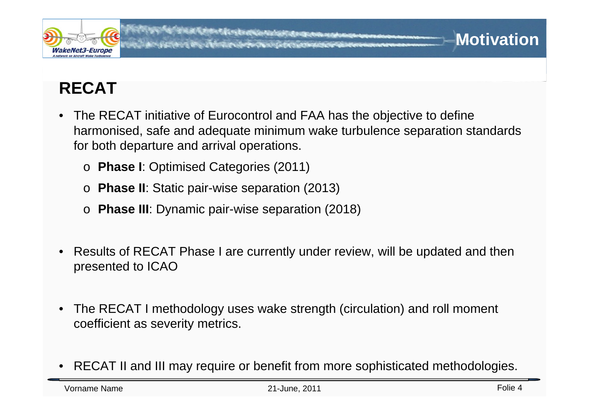

## **RECAT**

- The RECAT initiative of Eurocontrol and FAA has the objective to define harmonised, safe and adequate minimum wake turbulence separation standards for both departure and arrival operations.
	- <sup>o</sup>**Phase I**: Optimised Categories (2011)
	- <sup>o</sup>**Phase II**: Static pair-wise separation (2013)
	- <sup>o</sup>**Phase III**: Dynamic pair-wise separation (2018)
- Results of RECAT Phase I are currently under review, will be updated and then presented to ICAO
- The RECAT I methodology uses wake strength (circulation) and roll moment coefficient as severity metrics.
- RECAT II and III may require or benefit from more sophisticated methodologies.

**Motivation**